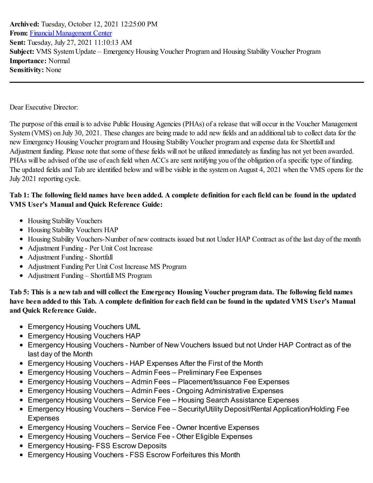**Archived:** Tuesday, October 12, 2021 12:25:00 PM **From:** Financial [Management](mailto:FinancialManagementCenter@hud.gov) Center **Sent:** Tuesday, July 27, 2021 11:10:13 AM **Subject:** VMS System Update – Emergency Housing Voucher Program and Housing Stability Voucher Program **Importance:** Normal **Sensitivity:** None

Dear Executive Director:

The purpose of this email is to advise Public Housing Agencies (PHAs) of a release that will occur in the Voucher Management System (VMS) on July 30, 2021. These changes are being made to add new fields and an additional tab to collect data for the new Emergency Housing Voucher program and Housing Stability Voucher program and expense data for Shortfall and Adjustment funding. Please note that some of these fields will not be utilized immediately as funding has not yet been awarded. PHAs will be advised of the use of each field when ACCs are sent notifying you of the obligation of a specific type of funding. The updated fields and Tab are identified below and will be visible in the system on August 4, 2021 when the VMS opens for the July 2021 reporting cycle.

## Tab 1: The following field names have been added. A complete definition for each field can be found in the updated **VMS User's Manual and Quick Reference Guide:**

- Housing Stability Vouchers
- Housing Stability Vouchers HAP
- Housing Stability Vouchers-Number of new contracts issued but not Under HAP Contract as of the last day of the month
- Adjustment Funding Per Unit Cost Increase
- Adjustment Funding Shortfall
- Adjustment Funding Per Unit Cost Increase MS Program
- Adjustment Funding Shortfall MS Program

Tab 5: This is a new tab and will collect the Emergency Housing Voucher program data. The following field names have been added to this Tab. A complete definition for each field can be found in the updated VMS User's Manual **and Quick Reference Guide.**

- Emergency Housing Vouchers UML
- Emergency Housing Vouchers HAP
- Emergency Housing Vouchers Number of New Vouchers Issued but not Under HAP Contract as of the last day of the Month
- Emergency Housing Vouchers HAP Expenses After the First of the Month
- Emergency Housing Vouchers Admin Fees Preliminary Fee Expenses
- Emergency Housing Vouchers Admin Fees Placement/Issuance Fee Expenses
- Emergency Housing Vouchers Admin Fees Ongoing Administrative Expenses
- Emergency Housing Vouchers Service Fee Housing Search Assistance Expenses
- Emergency Housing Vouchers Service Fee Security/Utility Deposit/Rental Application/Holding Fee Expenses
- Emergency Housing Vouchers Service Fee Owner Incentive Expenses
- Emergency Housing Vouchers Service Fee Other Eligible Expenses
- Emergency Housing- FSS Escrow Deposits
- Emergency Housing Vouchers FSS Escrow Forfeitures this Month